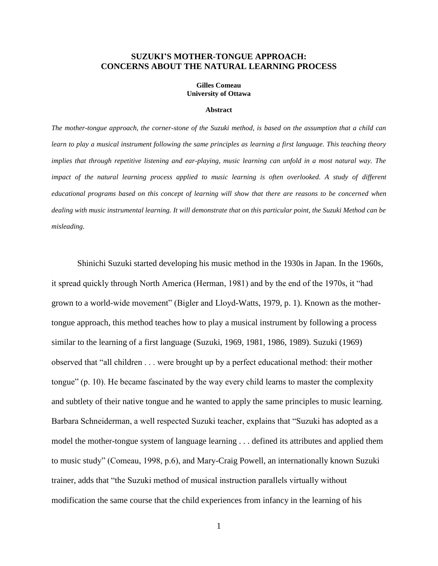## **SUZUKI'S MOTHER-TONGUE APPROACH: CONCERNS ABOUT THE NATURAL LEARNING PROCESS**

#### **Gilles Comeau University of Ottawa**

#### **Abstract**

*The mother-tongue approach, the corner-stone of the Suzuki method, is based on the assumption that a child can learn to play a musical instrument following the same principles as learning a first language. This teaching theory implies that through repetitive listening and ear-playing, music learning can unfold in a most natural way. The impact of the natural learning process applied to music learning is often overlooked. A study of different educational programs based on this concept of learning will show that there are reasons to be concerned when dealing with music instrumental learning. It will demonstrate that on this particular point, the Suzuki Method can be misleading.*

Shinichi Suzuki started developing his music method in the 1930s in Japan. In the 1960s, it spread quickly through North America (Herman, 1981) and by the end of the 1970s, it "had grown to a world-wide movement" (Bigler and Lloyd-Watts, 1979, p. 1). Known as the mothertongue approach, this method teaches how to play a musical instrument by following a process similar to the learning of a first language (Suzuki, 1969, 1981, 1986, 1989). Suzuki (1969) observed that "all children . . . were brought up by a perfect educational method: their mother tongue" (p. 10). He became fascinated by the way every child learns to master the complexity and subtlety of their native tongue and he wanted to apply the same principles to music learning. Barbara Schneiderman, a well respected Suzuki teacher, explains that "Suzuki has adopted as a model the mother-tongue system of language learning . . . defined its attributes and applied them to music study" (Comeau, 1998, p.6), and Mary-Craig Powell, an internationally known Suzuki trainer, adds that "the Suzuki method of musical instruction parallels virtually without modification the same course that the child experiences from infancy in the learning of his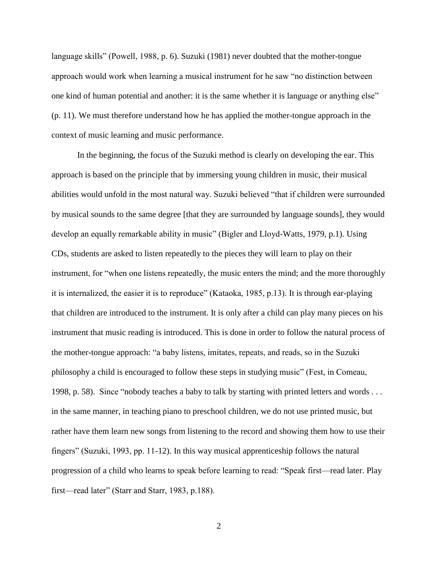language skills" (Powell, 1988, p. 6). Suzuki (1981) never doubted that the mother-tongue approach would work when learning a musical instrument for he saw "no distinction between one kind of human potential and another: it is the same whether it is language or anything else" (p. 11). We must therefore understand how he has applied the mother-tongue approach in the context of music learning and music performance.

In the beginning, the focus of the Suzuki method is clearly on developing the ear. This approach is based on the principle that by immersing young children in music, their musical abilities would unfold in the most natural way. Suzuki believed "that if children were surrounded by musical sounds to the same degree [that they are surrounded by language sounds], they would develop an equally remarkable ability in music" (Bigler and Lloyd-Watts, 1979, p.1). Using CDs, students are asked to listen repeatedly to the pieces they will learn to play on their instrument, for "when one listens repeatedly, the music enters the mind; and the more thoroughly it is internalized, the easier it is to reproduce" (Kataoka, 1985, p.13). It is through ear-playing that children are introduced to the instrument. It is only after a child can play many pieces on his instrument that music reading is introduced. This is done in order to follow the natural process of the mother-tongue approach: "a baby listens, imitates, repeats, and reads, so in the Suzuki philosophy a child is encouraged to follow these steps in studying music" (Fest, in Comeau, 1998, p. 58). Since "nobody teaches a baby to talk by starting with printed letters and words . . . in the same manner, in teaching piano to preschool children, we do not use printed music, but rather have them learn new songs from listening to the record and showing them how to use their fingers" (Suzuki, 1993, pp. 11-12). In this way musical apprenticeship follows the natural progression of a child who learns to speak before learning to read: "Speak first—read later. Play first—read later" (Starr and Starr, 1983, p.188).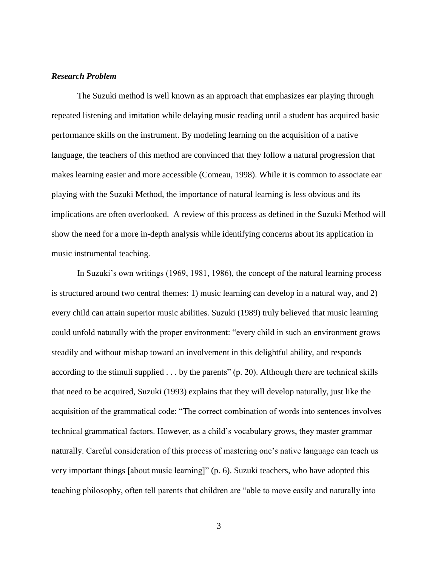## *Research Problem*

The Suzuki method is well known as an approach that emphasizes ear playing through repeated listening and imitation while delaying music reading until a student has acquired basic performance skills on the instrument. By modeling learning on the acquisition of a native language, the teachers of this method are convinced that they follow a natural progression that makes learning easier and more accessible (Comeau, 1998). While it is common to associate ear playing with the Suzuki Method, the importance of natural learning is less obvious and its implications are often overlooked. A review of this process as defined in the Suzuki Method will show the need for a more in-depth analysis while identifying concerns about its application in music instrumental teaching.

In Suzuki's own writings (1969, 1981, 1986), the concept of the natural learning process is structured around two central themes: 1) music learning can develop in a natural way, and 2) every child can attain superior music abilities. Suzuki (1989) truly believed that music learning could unfold naturally with the proper environment: "every child in such an environment grows steadily and without mishap toward an involvement in this delightful ability, and responds according to the stimuli supplied  $\dots$  by the parents" (p. 20). Although there are technical skills that need to be acquired, Suzuki (1993) explains that they will develop naturally, just like the acquisition of the grammatical code: "The correct combination of words into sentences involves technical grammatical factors. However, as a child's vocabulary grows, they master grammar naturally. Careful consideration of this process of mastering one's native language can teach us very important things [about music learning]" (p. 6). Suzuki teachers, who have adopted this teaching philosophy, often tell parents that children are "able to move easily and naturally into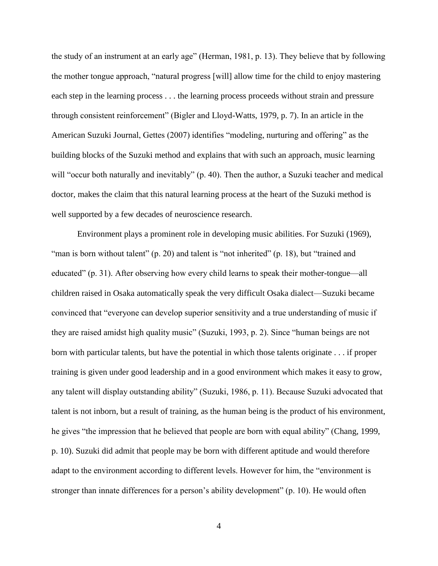the study of an instrument at an early age" (Herman, 1981, p. 13). They believe that by following the mother tongue approach, "natural progress [will] allow time for the child to enjoy mastering each step in the learning process . . . the learning process proceeds without strain and pressure through consistent reinforcement" (Bigler and Lloyd-Watts, 1979, p. 7). In an article in the American Suzuki Journal, Gettes (2007) identifies "modeling, nurturing and offering" as the building blocks of the Suzuki method and explains that with such an approach, music learning will "occur both naturally and inevitably" (p. 40). Then the author, a Suzuki teacher and medical doctor, makes the claim that this natural learning process at the heart of the Suzuki method is well supported by a few decades of neuroscience research.

Environment plays a prominent role in developing music abilities. For Suzuki (1969), "man is born without talent" (p. 20) and talent is "not inherited" (p. 18), but "trained and educated" (p. 31). After observing how every child learns to speak their mother-tongue—all children raised in Osaka automatically speak the very difficult Osaka dialect—Suzuki became convinced that "everyone can develop superior sensitivity and a true understanding of music if they are raised amidst high quality music" (Suzuki, 1993, p. 2). Since "human beings are not born with particular talents, but have the potential in which those talents originate . . . if proper training is given under good leadership and in a good environment which makes it easy to grow, any talent will display outstanding ability" (Suzuki, 1986, p. 11). Because Suzuki advocated that talent is not inborn, but a result of training, as the human being is the product of his environment, he gives "the impression that he believed that people are born with equal ability" (Chang, 1999, p. 10). Suzuki did admit that people may be born with different aptitude and would therefore adapt to the environment according to different levels. However for him, the "environment is stronger than innate differences for a person's ability development" (p. 10). He would often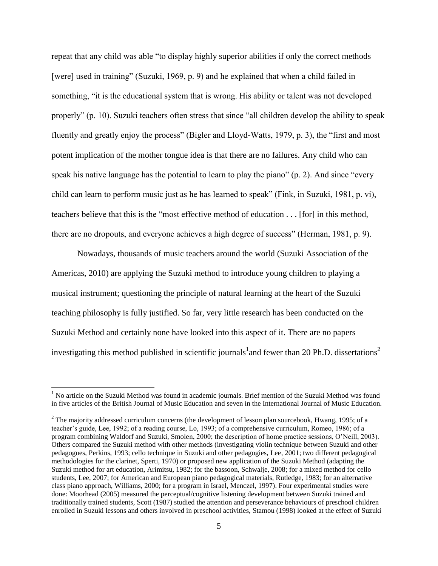repeat that any child was able "to display highly superior abilities if only the correct methods [were] used in training" (Suzuki, 1969, p. 9) and he explained that when a child failed in something, "it is the educational system that is wrong. His ability or talent was not developed properly" (p. 10). Suzuki teachers often stress that since "all children develop the ability to speak fluently and greatly enjoy the process" (Bigler and Lloyd-Watts, 1979, p. 3), the "first and most potent implication of the mother tongue idea is that there are no failures. Any child who can speak his native language has the potential to learn to play the piano" (p. 2). And since "every child can learn to perform music just as he has learned to speak" (Fink, in Suzuki, 1981, p. vi), teachers believe that this is the "most effective method of education . . . [for] in this method, there are no dropouts, and everyone achieves a high degree of success" (Herman, 1981, p. 9).

Nowadays, thousands of music teachers around the world (Suzuki Association of the Americas, 2010) are applying the Suzuki method to introduce young children to playing a musical instrument; questioning the principle of natural learning at the heart of the Suzuki teaching philosophy is fully justified. So far, very little research has been conducted on the Suzuki Method and certainly none have looked into this aspect of it. There are no papers investigating this method published in scientific journals<sup>1</sup> and fewer than 20 Ph.D. dissertations<sup>2</sup>

 $\overline{a}$ 

 $<sup>1</sup>$  No article on the Suzuki Method was found in academic journals. Brief mention of the Suzuki Method was found</sup> in five articles of the British Journal of Music Education and seven in the International Journal of Music Education.

<sup>&</sup>lt;sup>2</sup> The majority addressed curriculum concerns (the development of lesson plan sourcebook, Hwang, 1995; of a teacher's guide, Lee, 1992; of a reading course, Lo, 1993; of a comprehensive curriculum, Romeo, 1986; of a program combining Waldorf and Suzuki, Smolen, 2000; the description of home practice sessions, O'Neill, 2003). Others compared the Suzuki method with other methods (investigating violin technique between Suzuki and other pedagogues, Perkins, 1993; cello technique in Suzuki and other pedagogies, Lee, 2001; two different pedagogical methodologies for the clarinet, Sperti, 1970) or proposed new application of the Suzuki Method (adapting the Suzuki method for art education, Arimitsu, 1982; for the bassoon, Schwalje, 2008; for a mixed method for cello students, Lee, 2007; for American and European piano pedagogical materials, Rutledge, 1983; for an alternative class piano approach, Williams, 2000; for a program in Israel, Menczel, 1997). Four experimental studies were done: Moorhead (2005) measured the perceptual/cognitive listening development between Suzuki trained and traditionally trained students, Scott (1987) studied the attention and perseverance behaviours of preschool children enrolled in Suzuki lessons and others involved in preschool activities, Stamou (1998) looked at the effect of Suzuki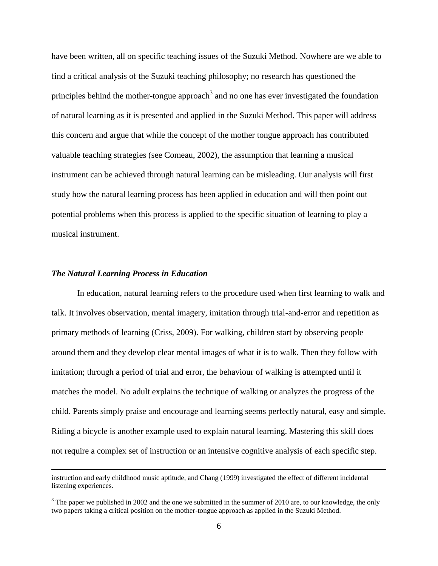have been written, all on specific teaching issues of the Suzuki Method. Nowhere are we able to find a critical analysis of the Suzuki teaching philosophy; no research has questioned the principles behind the mother-tongue approach<sup>3</sup> and no one has ever investigated the foundation of natural learning as it is presented and applied in the Suzuki Method. This paper will address this concern and argue that while the concept of the mother tongue approach has contributed valuable teaching strategies (see Comeau, 2002), the assumption that learning a musical instrument can be achieved through natural learning can be misleading. Our analysis will first study how the natural learning process has been applied in education and will then point out potential problems when this process is applied to the specific situation of learning to play a musical instrument.

## *The Natural Learning Process in Education*

 $\overline{a}$ 

In education, natural learning refers to the procedure used when first learning to walk and talk. It involves observation, mental imagery, imitation through trial-and-error and repetition as primary methods of learning (Criss, 2009). For walking, children start by observing people around them and they develop clear mental images of what it is to walk. Then they follow with imitation; through a period of trial and error, the behaviour of walking is attempted until it matches the model. No adult explains the technique of walking or analyzes the progress of the child. Parents simply praise and encourage and learning seems perfectly natural, easy and simple. Riding a bicycle is another example used to explain natural learning. Mastering this skill does not require a complex set of instruction or an intensive cognitive analysis of each specific step.

instruction and early childhood music aptitude, and Chang (1999) investigated the effect of different incidental listening experiences.

 $3$  The paper we published in 2002 and the one we submitted in the summer of 2010 are, to our knowledge, the only two papers taking a critical position on the mother-tongue approach as applied in the Suzuki Method.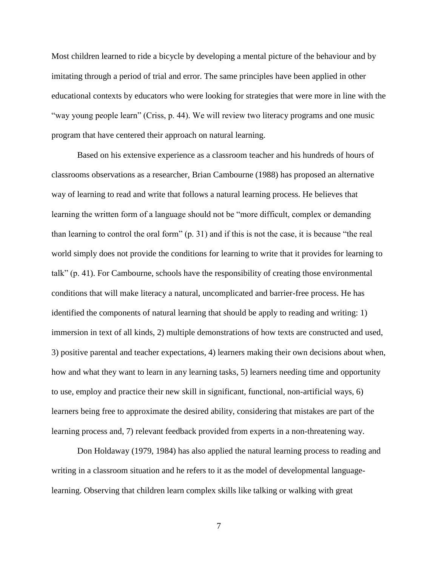Most children learned to ride a bicycle by developing a mental picture of the behaviour and by imitating through a period of trial and error. The same principles have been applied in other educational contexts by educators who were looking for strategies that were more in line with the "way young people learn" (Criss, p. 44). We will review two literacy programs and one music program that have centered their approach on natural learning.

Based on his extensive experience as a classroom teacher and his hundreds of hours of classrooms observations as a researcher, Brian Cambourne (1988) has proposed an alternative way of learning to read and write that follows a natural learning process. He believes that learning the written form of a language should not be "more difficult, complex or demanding than learning to control the oral form" (p. 31) and if this is not the case, it is because "the real world simply does not provide the conditions for learning to write that it provides for learning to talk" (p. 41). For Cambourne, schools have the responsibility of creating those environmental conditions that will make literacy a natural, uncomplicated and barrier-free process. He has identified the components of natural learning that should be apply to reading and writing: 1) immersion in text of all kinds, 2) multiple demonstrations of how texts are constructed and used, 3) positive parental and teacher expectations, 4) learners making their own decisions about when, how and what they want to learn in any learning tasks, 5) learners needing time and opportunity to use, employ and practice their new skill in significant, functional, non-artificial ways, 6) learners being free to approximate the desired ability, considering that mistakes are part of the learning process and, 7) relevant feedback provided from experts in a non-threatening way.

Don Holdaway (1979, 1984) has also applied the natural learning process to reading and writing in a classroom situation and he refers to it as the model of developmental languagelearning. Observing that children learn complex skills like talking or walking with great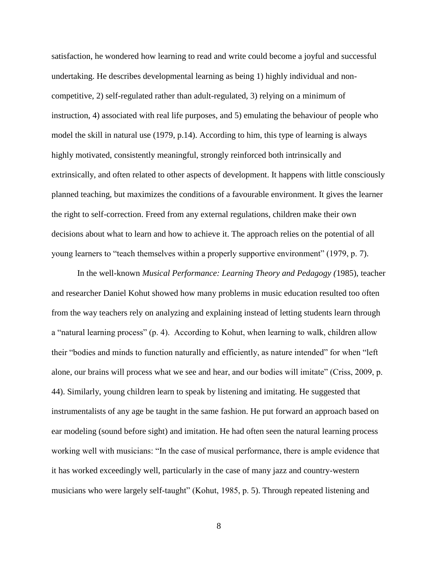satisfaction, he wondered how learning to read and write could become a joyful and successful undertaking. He describes developmental learning as being 1) highly individual and noncompetitive, 2) self-regulated rather than adult-regulated, 3) relying on a minimum of instruction, 4) associated with real life purposes, and 5) emulating the behaviour of people who model the skill in natural use (1979, p.14). According to him, this type of learning is always highly motivated, consistently meaningful, strongly reinforced both intrinsically and extrinsically, and often related to other aspects of development. It happens with little consciously planned teaching, but maximizes the conditions of a favourable environment. It gives the learner the right to self-correction. Freed from any external regulations, children make their own decisions about what to learn and how to achieve it. The approach relies on the potential of all young learners to "teach themselves within a properly supportive environment" (1979, p. 7).

In the well-known *Musical Performance: Learning Theory and Pedagogy (*1985), teacher and researcher Daniel Kohut showed how many problems in music education resulted too often from the way teachers rely on analyzing and explaining instead of letting students learn through a "natural learning process" (p. 4). According to Kohut, when learning to walk, children allow their "bodies and minds to function naturally and efficiently, as nature intended" for when "left alone, our brains will process what we see and hear, and our bodies will imitate" (Criss, 2009, p. 44). Similarly, young children learn to speak by listening and imitating. He suggested that instrumentalists of any age be taught in the same fashion. He put forward an approach based on ear modeling (sound before sight) and imitation. He had often seen the natural learning process working well with musicians: "In the case of musical performance, there is ample evidence that it has worked exceedingly well, particularly in the case of many jazz and country-western musicians who were largely self-taught" (Kohut, 1985, p. 5). Through repeated listening and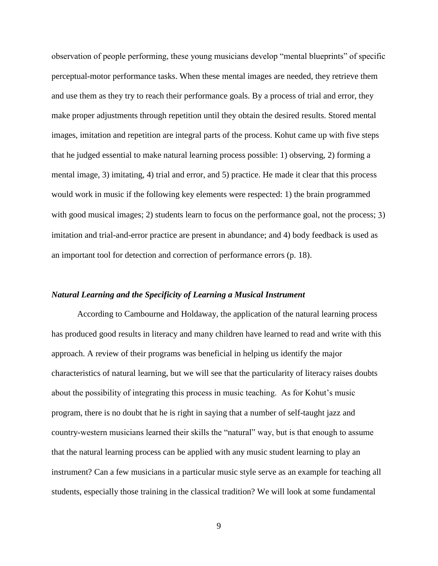observation of people performing, these young musicians develop "mental blueprints" of specific perceptual-motor performance tasks. When these mental images are needed, they retrieve them and use them as they try to reach their performance goals. By a process of trial and error, they make proper adjustments through repetition until they obtain the desired results. Stored mental images, imitation and repetition are integral parts of the process. Kohut came up with five steps that he judged essential to make natural learning process possible: 1) observing, 2) forming a mental image, 3) imitating, 4) trial and error, and 5) practice. He made it clear that this process would work in music if the following key elements were respected: 1) the brain programmed with good musical images; 2) students learn to focus on the performance goal, not the process; 3) imitation and trial-and-error practice are present in abundance; and 4) body feedback is used as an important tool for detection and correction of performance errors (p. 18).

# *Natural Learning and the Specificity of Learning a Musical Instrument*

According to Cambourne and Holdaway, the application of the natural learning process has produced good results in literacy and many children have learned to read and write with this approach. A review of their programs was beneficial in helping us identify the major characteristics of natural learning, but we will see that the particularity of literacy raises doubts about the possibility of integrating this process in music teaching. As for Kohut's music program, there is no doubt that he is right in saying that a number of self-taught jazz and country-western musicians learned their skills the "natural" way, but is that enough to assume that the natural learning process can be applied with any music student learning to play an instrument? Can a few musicians in a particular music style serve as an example for teaching all students, especially those training in the classical tradition? We will look at some fundamental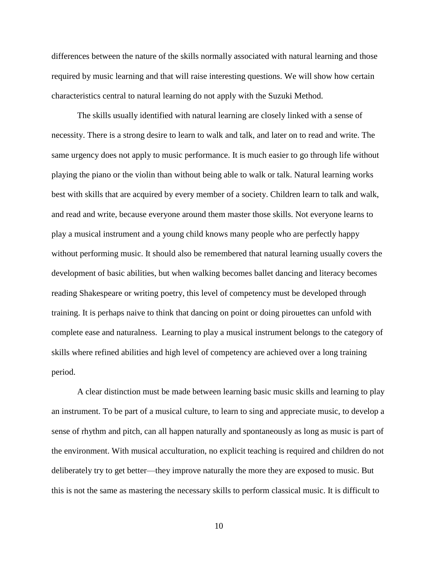differences between the nature of the skills normally associated with natural learning and those required by music learning and that will raise interesting questions. We will show how certain characteristics central to natural learning do not apply with the Suzuki Method.

The skills usually identified with natural learning are closely linked with a sense of necessity. There is a strong desire to learn to walk and talk, and later on to read and write. The same urgency does not apply to music performance. It is much easier to go through life without playing the piano or the violin than without being able to walk or talk. Natural learning works best with skills that are acquired by every member of a society. Children learn to talk and walk, and read and write, because everyone around them master those skills. Not everyone learns to play a musical instrument and a young child knows many people who are perfectly happy without performing music. It should also be remembered that natural learning usually covers the development of basic abilities, but when walking becomes ballet dancing and literacy becomes reading Shakespeare or writing poetry, this level of competency must be developed through training. It is perhaps naive to think that dancing on point or doing pirouettes can unfold with complete ease and naturalness. Learning to play a musical instrument belongs to the category of skills where refined abilities and high level of competency are achieved over a long training period.

A clear distinction must be made between learning basic music skills and learning to play an instrument. To be part of a musical culture, to learn to sing and appreciate music, to develop a sense of rhythm and pitch, can all happen naturally and spontaneously as long as music is part of the environment. With musical acculturation, no explicit teaching is required and children do not deliberately try to get better—they improve naturally the more they are exposed to music. But this is not the same as mastering the necessary skills to perform classical music. It is difficult to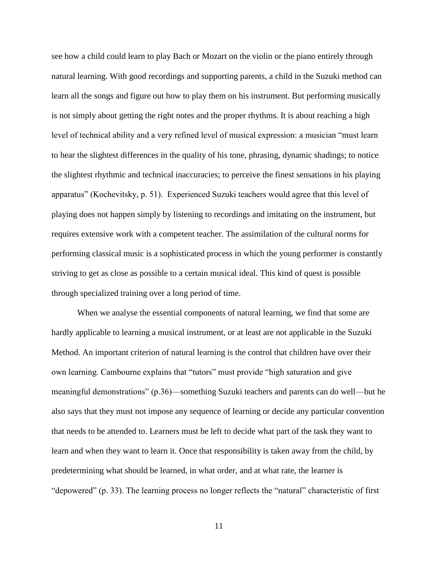see how a child could learn to play Bach or Mozart on the violin or the piano entirely through natural learning. With good recordings and supporting parents, a child in the Suzuki method can learn all the songs and figure out how to play them on his instrument. But performing musically is not simply about getting the right notes and the proper rhythms. It is about reaching a high level of technical ability and a very refined level of musical expression: a musician "must learn to hear the slightest differences in the quality of his tone, phrasing, dynamic shadings; to notice the slightest rhythmic and technical inaccuracies; to perceive the finest sensations in his playing apparatus" (Kochevitsky, p. 51). Experienced Suzuki teachers would agree that this level of playing does not happen simply by listening to recordings and imitating on the instrument, but requires extensive work with a competent teacher. The assimilation of the cultural norms for performing classical music is a sophisticated process in which the young performer is constantly striving to get as close as possible to a certain musical ideal. This kind of quest is possible through specialized training over a long period of time.

When we analyse the essential components of natural learning, we find that some are hardly applicable to learning a musical instrument, or at least are not applicable in the Suzuki Method. An important criterion of natural learning is the control that children have over their own learning. Cambourne explains that "tutors" must provide "high saturation and give meaningful demonstrations" (p.36)—something Suzuki teachers and parents can do well—but he also says that they must not impose any sequence of learning or decide any particular convention that needs to be attended to. Learners must be left to decide what part of the task they want to learn and when they want to learn it. Once that responsibility is taken away from the child, by predetermining what should be learned, in what order, and at what rate, the learner is "depowered" (p. 33). The learning process no longer reflects the "natural" characteristic of first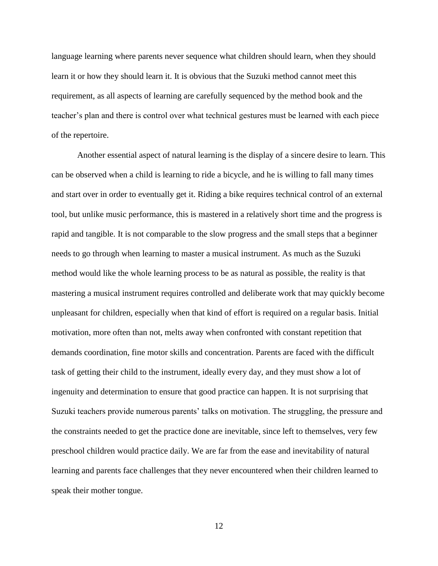language learning where parents never sequence what children should learn, when they should learn it or how they should learn it. It is obvious that the Suzuki method cannot meet this requirement, as all aspects of learning are carefully sequenced by the method book and the teacher's plan and there is control over what technical gestures must be learned with each piece of the repertoire.

Another essential aspect of natural learning is the display of a sincere desire to learn. This can be observed when a child is learning to ride a bicycle, and he is willing to fall many times and start over in order to eventually get it. Riding a bike requires technical control of an external tool, but unlike music performance, this is mastered in a relatively short time and the progress is rapid and tangible. It is not comparable to the slow progress and the small steps that a beginner needs to go through when learning to master a musical instrument. As much as the Suzuki method would like the whole learning process to be as natural as possible, the reality is that mastering a musical instrument requires controlled and deliberate work that may quickly become unpleasant for children, especially when that kind of effort is required on a regular basis. Initial motivation, more often than not, melts away when confronted with constant repetition that demands coordination, fine motor skills and concentration. Parents are faced with the difficult task of getting their child to the instrument, ideally every day, and they must show a lot of ingenuity and determination to ensure that good practice can happen. It is not surprising that Suzuki teachers provide numerous parents' talks on motivation. The struggling, the pressure and the constraints needed to get the practice done are inevitable, since left to themselves, very few preschool children would practice daily. We are far from the ease and inevitability of natural learning and parents face challenges that they never encountered when their children learned to speak their mother tongue.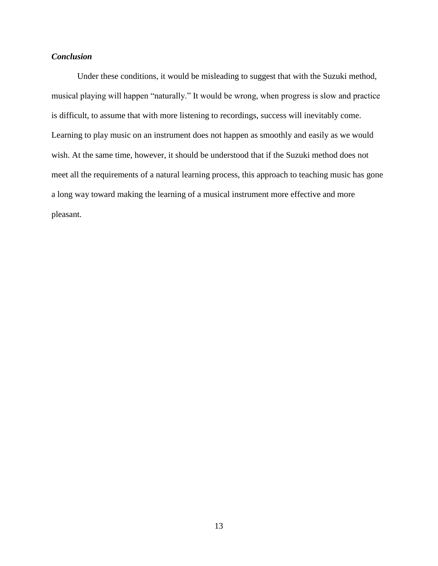# *Conclusion*

Under these conditions, it would be misleading to suggest that with the Suzuki method, musical playing will happen "naturally." It would be wrong, when progress is slow and practice is difficult, to assume that with more listening to recordings, success will inevitably come. Learning to play music on an instrument does not happen as smoothly and easily as we would wish. At the same time, however, it should be understood that if the Suzuki method does not meet all the requirements of a natural learning process, this approach to teaching music has gone a long way toward making the learning of a musical instrument more effective and more pleasant.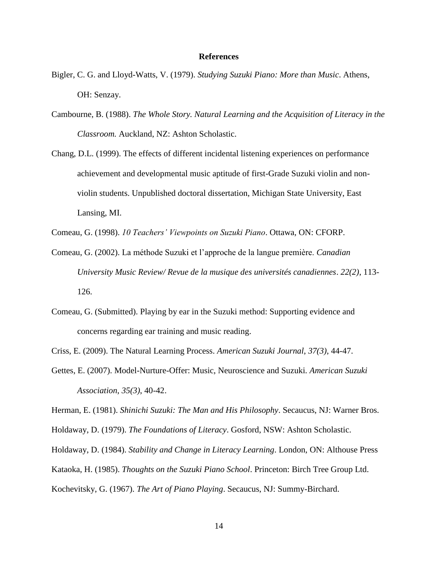#### **References**

- Bigler, C. G. and Lloyd-Watts, V. (1979). *Studying Suzuki Piano: More than Music*. Athens, OH: Senzay.
- Cambourne, B. (1988). *The Whole Story. Natural Learning and the Acquisition of Literacy in the Classroom.* Auckland, NZ: Ashton Scholastic.
- Chang, D.L. (1999). The effects of different incidental listening experiences on performance achievement and developmental music aptitude of first-Grade Suzuki violin and nonviolin students. Unpublished doctoral dissertation, Michigan State University, East Lansing, MI.
- Comeau, G. (1998). *10 Teachers' Viewpoints on Suzuki Piano*. Ottawa, ON: CFORP.
- Comeau, G. (2002). La méthode Suzuki et l'approche de la langue première. *Canadian University Music Review/ Revue de la musique des universités canadiennes*. *22(2)*, 113- 126.
- Comeau, G. (Submitted). Playing by ear in the Suzuki method: Supporting evidence and concerns regarding ear training and music reading.

Criss, E. (2009). The Natural Learning Process. *American Suzuki Journal*, *37(3)*, 44-47.

Gettes, E. (2007). Model-Nurture-Offer: Music, Neuroscience and Suzuki*. American Suzuki Association*, *35(3)*, 40-42.

Herman, E. (1981). *Shinichi Suzuki: The Man and His Philosophy*. Secaucus, NJ: Warner Bros.

- Holdaway, D. (1979). *The Foundations of Literacy*. Gosford, NSW: Ashton Scholastic.
- Holdaway, D. (1984). *Stability and Change in Literacy Learning*. London, ON: Althouse Press

Kataoka, H. (1985). *Thoughts on the Suzuki Piano School*. Princeton: Birch Tree Group Ltd.

Kochevitsky, G. (1967). *The Art of Piano Playing*. Secaucus, NJ: Summy-Birchard.